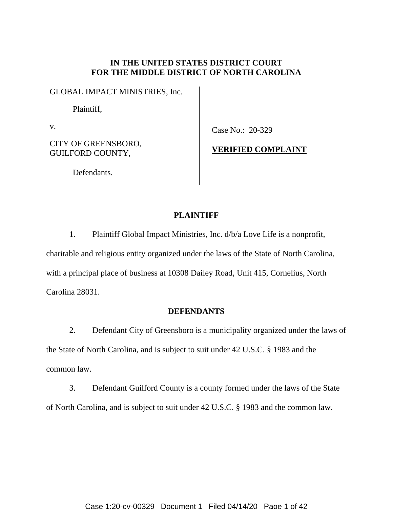# **IN THE UNITED STATES DISTRICT COURT FOR THE MIDDLE DISTRICT OF NORTH CAROLINA**

GLOBAL IMPACT MINISTRIES, Inc.

Plaintiff,

v.

CITY OF GREENSBORO, GUILFORD COUNTY,

Case No.: 20-329

**VERIFIED COMPLAINT** 

Defendants.

# **PLAINTIFF**

1. Plaintiff Global Impact Ministries, Inc. d/b/a Love Life is a nonprofit, charitable and religious entity organized under the laws of the State of North Carolina, with a principal place of business at 10308 Dailey Road, Unit 415, Cornelius, North Carolina 28031.

# **DEFENDANTS**

2. Defendant City of Greensboro is a municipality organized under the laws of the State of North Carolina, and is subject to suit under 42 U.S.C. § 1983 and the common law.

3. Defendant Guilford County is a county formed under the laws of the State of North Carolina, and is subject to suit under 42 U.S.C. § 1983 and the common law.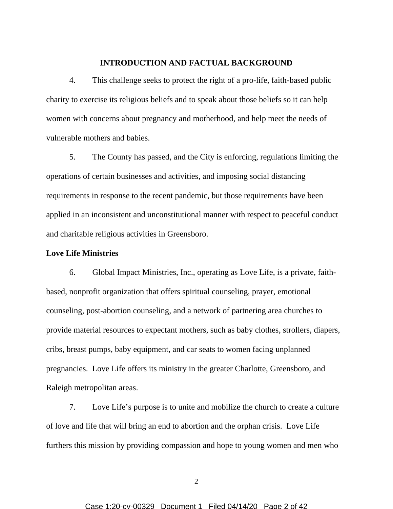## **INTRODUCTION AND FACTUAL BACKGROUND**

4. This challenge seeks to protect the right of a pro-life, faith-based public charity to exercise its religious beliefs and to speak about those beliefs so it can help women with concerns about pregnancy and motherhood, and help meet the needs of vulnerable mothers and babies.

5. The County has passed, and the City is enforcing, regulations limiting the operations of certain businesses and activities, and imposing social distancing requirements in response to the recent pandemic, but those requirements have been applied in an inconsistent and unconstitutional manner with respect to peaceful conduct and charitable religious activities in Greensboro.

# **Love Life Ministries**

6. Global Impact Ministries, Inc., operating as Love Life, is a private, faithbased, nonprofit organization that offers spiritual counseling, prayer, emotional counseling, post-abortion counseling, and a network of partnering area churches to provide material resources to expectant mothers, such as baby clothes, strollers, diapers, cribs, breast pumps, baby equipment, and car seats to women facing unplanned pregnancies. Love Life offers its ministry in the greater Charlotte, Greensboro, and Raleigh metropolitan areas.

7. Love Life's purpose is to unite and mobilize the church to create a culture of love and life that will bring an end to abortion and the orphan crisis. Love Life furthers this mission by providing compassion and hope to young women and men who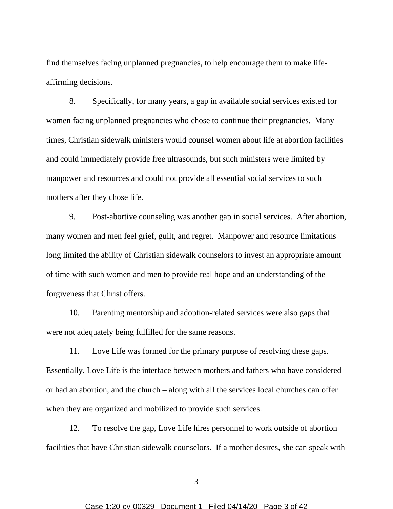find themselves facing unplanned pregnancies, to help encourage them to make lifeaffirming decisions.

8. Specifically, for many years, a gap in available social services existed for women facing unplanned pregnancies who chose to continue their pregnancies. Many times, Christian sidewalk ministers would counsel women about life at abortion facilities and could immediately provide free ultrasounds, but such ministers were limited by manpower and resources and could not provide all essential social services to such mothers after they chose life.

9. Post-abortive counseling was another gap in social services. After abortion, many women and men feel grief, guilt, and regret. Manpower and resource limitations long limited the ability of Christian sidewalk counselors to invest an appropriate amount of time with such women and men to provide real hope and an understanding of the forgiveness that Christ offers.

10. Parenting mentorship and adoption-related services were also gaps that were not adequately being fulfilled for the same reasons.

11. Love Life was formed for the primary purpose of resolving these gaps. Essentially, Love Life is the interface between mothers and fathers who have considered or had an abortion, and the church – along with all the services local churches can offer when they are organized and mobilized to provide such services.

12. To resolve the gap, Love Life hires personnel to work outside of abortion facilities that have Christian sidewalk counselors. If a mother desires, she can speak with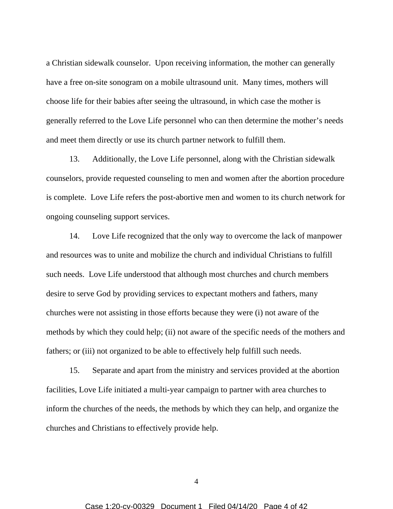a Christian sidewalk counselor. Upon receiving information, the mother can generally have a free on-site sonogram on a mobile ultrasound unit. Many times, mothers will choose life for their babies after seeing the ultrasound, in which case the mother is generally referred to the Love Life personnel who can then determine the mother's needs and meet them directly or use its church partner network to fulfill them.

13. Additionally, the Love Life personnel, along with the Christian sidewalk counselors, provide requested counseling to men and women after the abortion procedure is complete. Love Life refers the post-abortive men and women to its church network for ongoing counseling support services.

14. Love Life recognized that the only way to overcome the lack of manpower and resources was to unite and mobilize the church and individual Christians to fulfill such needs. Love Life understood that although most churches and church members desire to serve God by providing services to expectant mothers and fathers, many churches were not assisting in those efforts because they were (i) not aware of the methods by which they could help; (ii) not aware of the specific needs of the mothers and fathers; or (iii) not organized to be able to effectively help fulfill such needs.

15. Separate and apart from the ministry and services provided at the abortion facilities, Love Life initiated a multi-year campaign to partner with area churches to inform the churches of the needs, the methods by which they can help, and organize the churches and Christians to effectively provide help.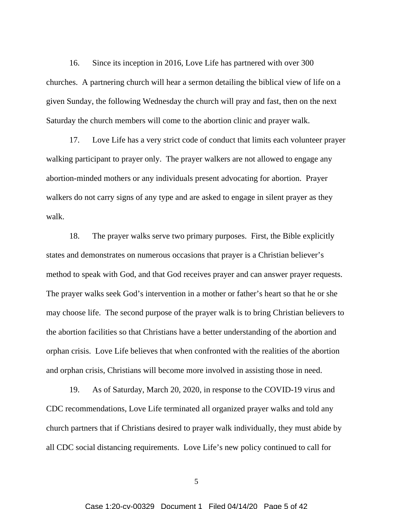16. Since its inception in 2016, Love Life has partnered with over 300 churches. A partnering church will hear a sermon detailing the biblical view of life on a given Sunday, the following Wednesday the church will pray and fast, then on the next Saturday the church members will come to the abortion clinic and prayer walk.

17. Love Life has a very strict code of conduct that limits each volunteer prayer walking participant to prayer only. The prayer walkers are not allowed to engage any abortion-minded mothers or any individuals present advocating for abortion. Prayer walkers do not carry signs of any type and are asked to engage in silent prayer as they walk.

18. The prayer walks serve two primary purposes. First, the Bible explicitly states and demonstrates on numerous occasions that prayer is a Christian believer's method to speak with God, and that God receives prayer and can answer prayer requests. The prayer walks seek God's intervention in a mother or father's heart so that he or she may choose life. The second purpose of the prayer walk is to bring Christian believers to the abortion facilities so that Christians have a better understanding of the abortion and orphan crisis. Love Life believes that when confronted with the realities of the abortion and orphan crisis, Christians will become more involved in assisting those in need.

19. As of Saturday, March 20, 2020, in response to the COVID-19 virus and CDC recommendations, Love Life terminated all organized prayer walks and told any church partners that if Christians desired to prayer walk individually, they must abide by all CDC social distancing requirements. Love Life's new policy continued to call for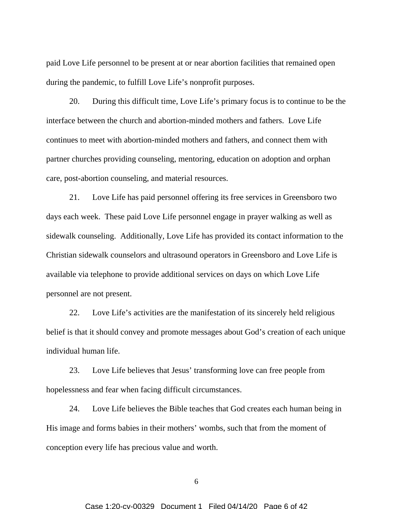paid Love Life personnel to be present at or near abortion facilities that remained open during the pandemic, to fulfill Love Life's nonprofit purposes.

20. During this difficult time, Love Life's primary focus is to continue to be the interface between the church and abortion-minded mothers and fathers. Love Life continues to meet with abortion-minded mothers and fathers, and connect them with partner churches providing counseling, mentoring, education on adoption and orphan care, post-abortion counseling, and material resources.

21. Love Life has paid personnel offering its free services in Greensboro two days each week. These paid Love Life personnel engage in prayer walking as well as sidewalk counseling. Additionally, Love Life has provided its contact information to the Christian sidewalk counselors and ultrasound operators in Greensboro and Love Life is available via telephone to provide additional services on days on which Love Life personnel are not present.

22. Love Life's activities are the manifestation of its sincerely held religious belief is that it should convey and promote messages about God's creation of each unique individual human life.

23. Love Life believes that Jesus' transforming love can free people from hopelessness and fear when facing difficult circumstances.

24. Love Life believes the Bible teaches that God creates each human being in His image and forms babies in their mothers' wombs, such that from the moment of conception every life has precious value and worth.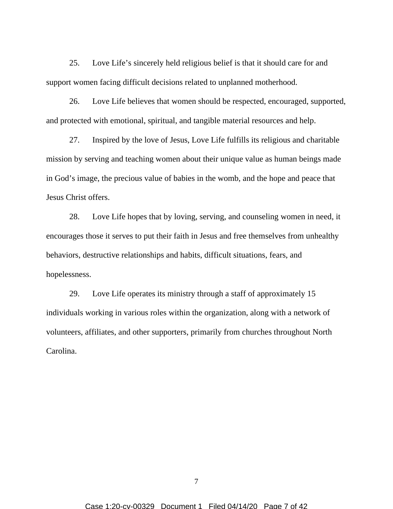25. Love Life's sincerely held religious belief is that it should care for and support women facing difficult decisions related to unplanned motherhood.

26. Love Life believes that women should be respected, encouraged, supported, and protected with emotional, spiritual, and tangible material resources and help.

27. Inspired by the love of Jesus, Love Life fulfills its religious and charitable mission by serving and teaching women about their unique value as human beings made in God's image, the precious value of babies in the womb, and the hope and peace that Jesus Christ offers.

28. Love Life hopes that by loving, serving, and counseling women in need, it encourages those it serves to put their faith in Jesus and free themselves from unhealthy behaviors, destructive relationships and habits, difficult situations, fears, and hopelessness.

29. Love Life operates its ministry through a staff of approximately 15 individuals working in various roles within the organization, along with a network of volunteers, affiliates, and other supporters, primarily from churches throughout North Carolina.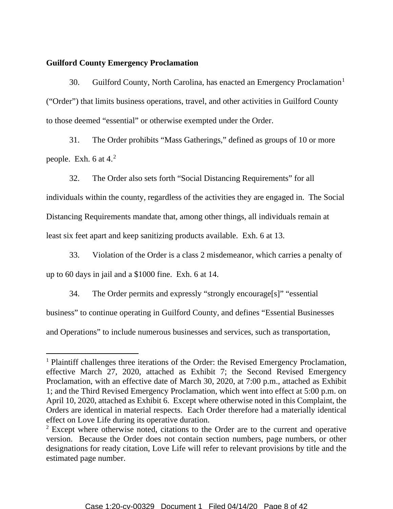# **Guilford County Emergency Proclamation**

30. Guilford County, North Carolina, has enacted an Emergency Proclamation<sup>1</sup> ("Order") that limits business operations, travel, and other activities in Guilford County to those deemed "essential" or otherwise exempted under the Order.

31. The Order prohibits "Mass Gatherings," defined as groups of 10 or more people. Exh. 6 at 4.2

32. The Order also sets forth "Social Distancing Requirements" for all individuals within the county, regardless of the activities they are engaged in. The Social Distancing Requirements mandate that, among other things, all individuals remain at least six feet apart and keep sanitizing products available. Exh. 6 at 13.

33. Violation of the Order is a class 2 misdemeanor, which carries a penalty of up to 60 days in jail and a \$1000 fine. Exh. 6 at 14.

34. The Order permits and expressly "strongly encourage[s]" "essential business" to continue operating in Guilford County, and defines "Essential Businesses and Operations" to include numerous businesses and services, such as transportation,

<sup>&</sup>lt;sup>1</sup> Plaintiff challenges three iterations of the Order: the Revised Emergency Proclamation, effective March 27, 2020, attached as Exhibit 7; the Second Revised Emergency Proclamation, with an effective date of March 30, 2020, at 7:00 p.m., attached as Exhibit 1; and the Third Revised Emergency Proclamation, which went into effect at 5:00 p.m. on April 10, 2020, attached as Exhibit 6. Except where otherwise noted in this Complaint, the Orders are identical in material respects. Each Order therefore had a materially identical effect on Love Life during its operative duration.

<sup>&</sup>lt;sup>2</sup> Except where otherwise noted, citations to the Order are to the current and operative version. Because the Order does not contain section numbers, page numbers, or other designations for ready citation, Love Life will refer to relevant provisions by title and the estimated page number.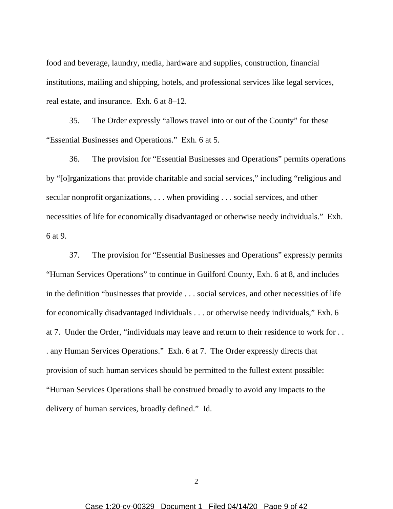food and beverage, laundry, media, hardware and supplies, construction, financial institutions, mailing and shipping, hotels, and professional services like legal services, real estate, and insurance. Exh. 6 at 8–12.

35. The Order expressly "allows travel into or out of the County" for these "Essential Businesses and Operations." Exh. 6 at 5.

36. The provision for "Essential Businesses and Operations" permits operations by "[o]rganizations that provide charitable and social services," including "religious and secular nonprofit organizations, . . . when providing . . . social services, and other necessities of life for economically disadvantaged or otherwise needy individuals." Exh. 6 at 9.

37. The provision for "Essential Businesses and Operations" expressly permits "Human Services Operations" to continue in Guilford County, Exh. 6 at 8, and includes in the definition "businesses that provide . . . social services, and other necessities of life for economically disadvantaged individuals . . . or otherwise needy individuals," Exh. 6 at 7. Under the Order, "individuals may leave and return to their residence to work for . . . any Human Services Operations." Exh. 6 at 7. The Order expressly directs that provision of such human services should be permitted to the fullest extent possible: "Human Services Operations shall be construed broadly to avoid any impacts to the delivery of human services, broadly defined." Id.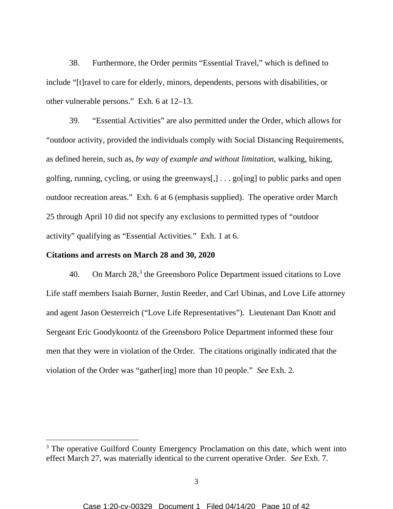38. Furthermore, the Order permits "Essential Travel," which is defined to include "[t]ravel to care for elderly, minors, dependents, persons with disabilities, or other vulnerable persons." Exh. 6 at 12–13.

39. "Essential Activities" are also permitted under the Order, which allows for "outdoor activity, provided the individuals comply with Social Distancing Requirements, as defined herein, such as, *by way of example and without limitation*, walking, hiking, golfing, running, cycling, or using the greenways $[, ] \dots$  go[ing] to public parks and open outdoor recreation areas." Exh. 6 at 6 (emphasis supplied). The operative order March 25 through April 10 did not specify any exclusions to permitted types of "outdoor activity" qualifying as "Essential Activities." Exh. 1 at 6.

## **Citations and arrests on March 28 and 30, 2020**

40. On March  $28<sup>3</sup>$ , the Greensboro Police Department issued citations to Love Life staff members Isaiah Burner, Justin Reeder, and Carl Ubinas, and Love Life attorney and agent Jason Oesterreich ("Love Life Representatives"). Lieutenant Dan Knott and Sergeant Eric Goodykoontz of the Greensboro Police Department informed these four men that they were in violation of the Order. The citations originally indicated that the violation of the Order was "gather[ing] more than 10 people." *See* Exh. 2.

<sup>&</sup>lt;sup>3</sup> The operative Guilford County Emergency Proclamation on this date, which went into effect March 27, was materially identical to the current operative Order. *See* Exh. 7.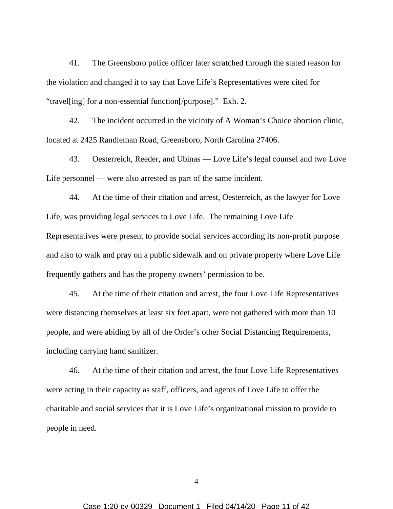41. The Greensboro police officer later scratched through the stated reason for the violation and changed it to say that Love Life's Representatives were cited for "travel[ing] for a non-essential function[/purpose]." Exh. 2.

42. The incident occurred in the vicinity of A Woman's Choice abortion clinic, located at 2425 Randleman Road, Greensboro, North Carolina 27406.

43. Oesterreich, Reeder, and Ubinas — Love Life's legal counsel and two Love Life personnel — were also arrested as part of the same incident.

44. At the time of their citation and arrest, Oesterreich, as the lawyer for Love Life, was providing legal services to Love Life. The remaining Love Life Representatives were present to provide social services according its non-profit purpose and also to walk and pray on a public sidewalk and on private property where Love Life frequently gathers and has the property owners' permission to be.

45. At the time of their citation and arrest, the four Love Life Representatives were distancing themselves at least six feet apart, were not gathered with more than 10 people, and were abiding by all of the Order's other Social Distancing Requirements, including carrying hand sanitizer.

46. At the time of their citation and arrest, the four Love Life Representatives were acting in their capacity as staff, officers, and agents of Love Life to offer the charitable and social services that it is Love Life's organizational mission to provide to people in need.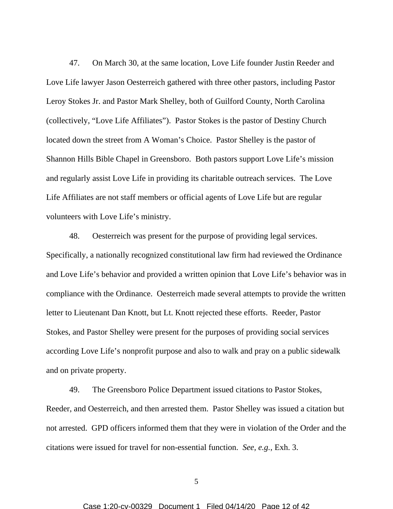47. On March 30, at the same location, Love Life founder Justin Reeder and Love Life lawyer Jason Oesterreich gathered with three other pastors, including Pastor Leroy Stokes Jr. and Pastor Mark Shelley, both of Guilford County, North Carolina (collectively, "Love Life Affiliates"). Pastor Stokes is the pastor of Destiny Church located down the street from A Woman's Choice. Pastor Shelley is the pastor of Shannon Hills Bible Chapel in Greensboro. Both pastors support Love Life's mission and regularly assist Love Life in providing its charitable outreach services. The Love Life Affiliates are not staff members or official agents of Love Life but are regular volunteers with Love Life's ministry.

48. Oesterreich was present for the purpose of providing legal services. Specifically, a nationally recognized constitutional law firm had reviewed the Ordinance and Love Life's behavior and provided a written opinion that Love Life's behavior was in compliance with the Ordinance. Oesterreich made several attempts to provide the written letter to Lieutenant Dan Knott, but Lt. Knott rejected these efforts. Reeder, Pastor Stokes, and Pastor Shelley were present for the purposes of providing social services according Love Life's nonprofit purpose and also to walk and pray on a public sidewalk and on private property.

49. The Greensboro Police Department issued citations to Pastor Stokes, Reeder, and Oesterreich, and then arrested them. Pastor Shelley was issued a citation but not arrested. GPD officers informed them that they were in violation of the Order and the citations were issued for travel for non-essential function. *See, e.g.*, Exh. 3.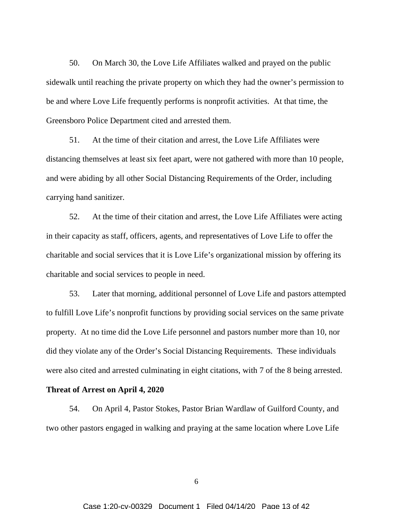50. On March 30, the Love Life Affiliates walked and prayed on the public sidewalk until reaching the private property on which they had the owner's permission to be and where Love Life frequently performs is nonprofit activities. At that time, the Greensboro Police Department cited and arrested them.

51. At the time of their citation and arrest, the Love Life Affiliates were distancing themselves at least six feet apart, were not gathered with more than 10 people, and were abiding by all other Social Distancing Requirements of the Order, including carrying hand sanitizer.

52. At the time of their citation and arrest, the Love Life Affiliates were acting in their capacity as staff, officers, agents, and representatives of Love Life to offer the charitable and social services that it is Love Life's organizational mission by offering its charitable and social services to people in need.

53. Later that morning, additional personnel of Love Life and pastors attempted to fulfill Love Life's nonprofit functions by providing social services on the same private property. At no time did the Love Life personnel and pastors number more than 10, nor did they violate any of the Order's Social Distancing Requirements. These individuals were also cited and arrested culminating in eight citations, with 7 of the 8 being arrested.

# **Threat of Arrest on April 4, 2020**

54. On April 4, Pastor Stokes, Pastor Brian Wardlaw of Guilford County, and two other pastors engaged in walking and praying at the same location where Love Life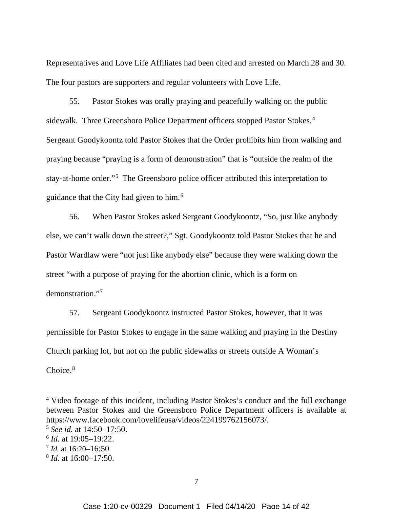Representatives and Love Life Affiliates had been cited and arrested on March 28 and 30. The four pastors are supporters and regular volunteers with Love Life.

55. Pastor Stokes was orally praying and peacefully walking on the public sidewalk. Three Greensboro Police Department officers stopped Pastor Stokes.<sup>4</sup> Sergeant Goodykoontz told Pastor Stokes that the Order prohibits him from walking and praying because "praying is a form of demonstration" that is "outside the realm of the stay-at-home order."<sup>5</sup> The Greensboro police officer attributed this interpretation to guidance that the City had given to him.<sup>6</sup>

56. When Pastor Stokes asked Sergeant Goodykoontz, "So, just like anybody else, we can't walk down the street?," Sgt. Goodykoontz told Pastor Stokes that he and Pastor Wardlaw were "not just like anybody else" because they were walking down the street "with a purpose of praying for the abortion clinic, which is a form on demonstration."7

57. Sergeant Goodykoontz instructed Pastor Stokes, however, that it was permissible for Pastor Stokes to engage in the same walking and praying in the Destiny Church parking lot, but not on the public sidewalks or streets outside A Woman's Choice.<sup>8</sup>

<sup>4</sup> Video footage of this incident, including Pastor Stokes's conduct and the full exchange between Pastor Stokes and the Greensboro Police Department officers is available at https://www.facebook.com/lovelifeusa/videos/224199762156073/. 5 *See id.* at 14:50–17:50.

<sup>6</sup> *Id.* at 19:05–19:22.

<sup>7</sup> *Id.* at 16:20–16:50

<sup>8</sup> *Id.* at 16:00–17:50.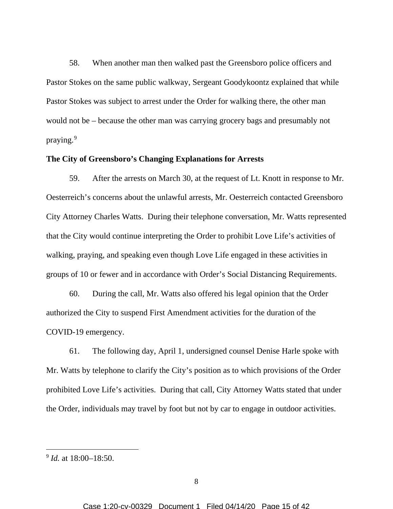58. When another man then walked past the Greensboro police officers and Pastor Stokes on the same public walkway, Sergeant Goodykoontz explained that while Pastor Stokes was subject to arrest under the Order for walking there, the other man would not be – because the other man was carrying grocery bags and presumably not praying.<sup>9</sup>

# **The City of Greensboro's Changing Explanations for Arrests**

59. After the arrests on March 30, at the request of Lt. Knott in response to Mr. Oesterreich's concerns about the unlawful arrests, Mr. Oesterreich contacted Greensboro City Attorney Charles Watts. During their telephone conversation, Mr. Watts represented that the City would continue interpreting the Order to prohibit Love Life's activities of walking, praying, and speaking even though Love Life engaged in these activities in groups of 10 or fewer and in accordance with Order's Social Distancing Requirements.

60. During the call, Mr. Watts also offered his legal opinion that the Order authorized the City to suspend First Amendment activities for the duration of the COVID-19 emergency.

61. The following day, April 1, undersigned counsel Denise Harle spoke with Mr. Watts by telephone to clarify the City's position as to which provisions of the Order prohibited Love Life's activities. During that call, City Attorney Watts stated that under the Order, individuals may travel by foot but not by car to engage in outdoor activities.

<sup>9</sup> *Id.* at 18:00–18:50.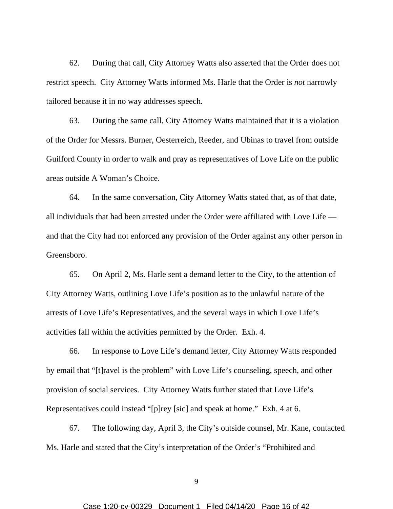62. During that call, City Attorney Watts also asserted that the Order does not restrict speech. City Attorney Watts informed Ms. Harle that the Order is *not* narrowly tailored because it in no way addresses speech.

63. During the same call, City Attorney Watts maintained that it is a violation of the Order for Messrs. Burner, Oesterreich, Reeder, and Ubinas to travel from outside Guilford County in order to walk and pray as representatives of Love Life on the public areas outside A Woman's Choice.

64. In the same conversation, City Attorney Watts stated that, as of that date, all individuals that had been arrested under the Order were affiliated with Love Life and that the City had not enforced any provision of the Order against any other person in Greensboro.

65. On April 2, Ms. Harle sent a demand letter to the City, to the attention of City Attorney Watts, outlining Love Life's position as to the unlawful nature of the arrests of Love Life's Representatives, and the several ways in which Love Life's activities fall within the activities permitted by the Order. Exh. 4.

66. In response to Love Life's demand letter, City Attorney Watts responded by email that "[t]ravel is the problem" with Love Life's counseling, speech, and other provision of social services. City Attorney Watts further stated that Love Life's Representatives could instead "[p]rey [sic] and speak at home." Exh. 4 at 6.

67. The following day, April 3, the City's outside counsel, Mr. Kane, contacted Ms. Harle and stated that the City's interpretation of the Order's "Prohibited and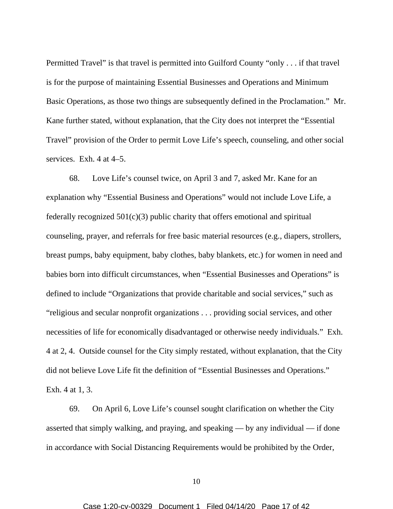Permitted Travel" is that travel is permitted into Guilford County "only . . . if that travel is for the purpose of maintaining Essential Businesses and Operations and Minimum Basic Operations, as those two things are subsequently defined in the Proclamation." Mr. Kane further stated, without explanation, that the City does not interpret the "Essential Travel" provision of the Order to permit Love Life's speech, counseling, and other social services. Exh. 4 at 4–5.

68. Love Life's counsel twice, on April 3 and 7, asked Mr. Kane for an explanation why "Essential Business and Operations" would not include Love Life, a federally recognized  $501(c)(3)$  public charity that offers emotional and spiritual counseling, prayer, and referrals for free basic material resources (e.g., diapers, strollers, breast pumps, baby equipment, baby clothes, baby blankets, etc.) for women in need and babies born into difficult circumstances, when "Essential Businesses and Operations" is defined to include "Organizations that provide charitable and social services," such as "religious and secular nonprofit organizations . . . providing social services, and other necessities of life for economically disadvantaged or otherwise needy individuals." Exh. 4 at 2, 4. Outside counsel for the City simply restated, without explanation, that the City did not believe Love Life fit the definition of "Essential Businesses and Operations." Exh. 4 at 1, 3.

69. On April 6, Love Life's counsel sought clarification on whether the City asserted that simply walking, and praying, and speaking — by any individual — if done in accordance with Social Distancing Requirements would be prohibited by the Order,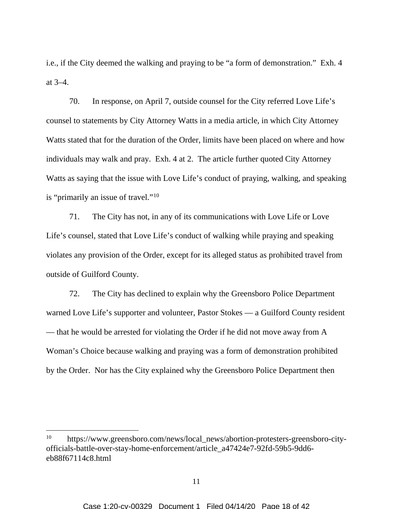i.e., if the City deemed the walking and praying to be "a form of demonstration." Exh. 4 at 3–4.

70. In response, on April 7, outside counsel for the City referred Love Life's counsel to statements by City Attorney Watts in a media article, in which City Attorney Watts stated that for the duration of the Order, limits have been placed on where and how individuals may walk and pray. Exh. 4 at 2. The article further quoted City Attorney Watts as saying that the issue with Love Life's conduct of praying, walking, and speaking is "primarily an issue of travel."10

71. The City has not, in any of its communications with Love Life or Love Life's counsel, stated that Love Life's conduct of walking while praying and speaking violates any provision of the Order, except for its alleged status as prohibited travel from outside of Guilford County.

72. The City has declined to explain why the Greensboro Police Department warned Love Life's supporter and volunteer, Pastor Stokes — a Guilford County resident — that he would be arrested for violating the Order if he did not move away from A Woman's Choice because walking and praying was a form of demonstration prohibited by the Order. Nor has the City explained why the Greensboro Police Department then

<sup>&</sup>lt;sup>10</sup> https://www.greensboro.com/news/local\_news/abortion-protesters-greensboro-cityofficials-battle-over-stay-home-enforcement/article\_a47424e7-92fd-59b5-9dd6 eb88f67114c8.html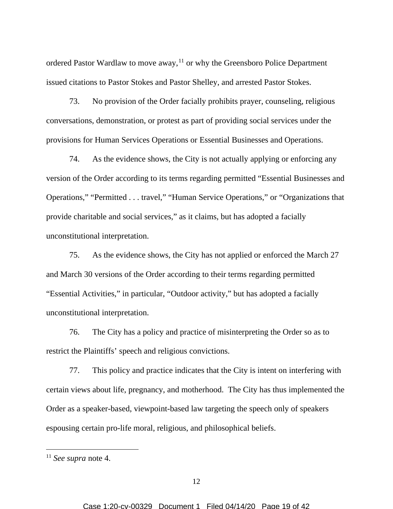ordered Pastor Wardlaw to move away, $11$  or why the Greensboro Police Department issued citations to Pastor Stokes and Pastor Shelley, and arrested Pastor Stokes.

73. No provision of the Order facially prohibits prayer, counseling, religious conversations, demonstration, or protest as part of providing social services under the provisions for Human Services Operations or Essential Businesses and Operations.

74. As the evidence shows, the City is not actually applying or enforcing any version of the Order according to its terms regarding permitted "Essential Businesses and Operations," "Permitted . . . travel," "Human Service Operations," or "Organizations that provide charitable and social services," as it claims, but has adopted a facially unconstitutional interpretation.

75. As the evidence shows, the City has not applied or enforced the March 27 and March 30 versions of the Order according to their terms regarding permitted "Essential Activities," in particular, "Outdoor activity," but has adopted a facially unconstitutional interpretation.

76. The City has a policy and practice of misinterpreting the Order so as to restrict the Plaintiffs' speech and religious convictions.

77. This policy and practice indicates that the City is intent on interfering with certain views about life, pregnancy, and motherhood. The City has thus implemented the Order as a speaker-based, viewpoint-based law targeting the speech only of speakers espousing certain pro-life moral, religious, and philosophical beliefs.

<sup>11</sup> *See supra* note 4.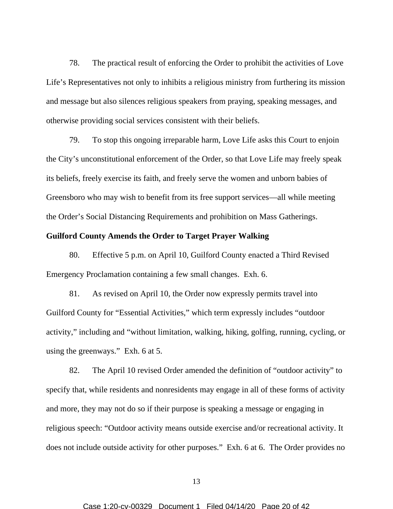78. The practical result of enforcing the Order to prohibit the activities of Love Life's Representatives not only to inhibits a religious ministry from furthering its mission and message but also silences religious speakers from praying, speaking messages, and otherwise providing social services consistent with their beliefs.

79. To stop this ongoing irreparable harm, Love Life asks this Court to enjoin the City's unconstitutional enforcement of the Order, so that Love Life may freely speak its beliefs, freely exercise its faith, and freely serve the women and unborn babies of Greensboro who may wish to benefit from its free support services—all while meeting the Order's Social Distancing Requirements and prohibition on Mass Gatherings.

## **Guilford County Amends the Order to Target Prayer Walking**

80. Effective 5 p.m. on April 10, Guilford County enacted a Third Revised Emergency Proclamation containing a few small changes. Exh. 6.

81. As revised on April 10, the Order now expressly permits travel into Guilford County for "Essential Activities," which term expressly includes "outdoor activity," including and "without limitation, walking, hiking, golfing, running, cycling, or using the greenways." Exh. 6 at 5.

82. The April 10 revised Order amended the definition of "outdoor activity" to specify that, while residents and nonresidents may engage in all of these forms of activity and more, they may not do so if their purpose is speaking a message or engaging in religious speech: "Outdoor activity means outside exercise and/or recreational activity. It does not include outside activity for other purposes." Exh. 6 at 6. The Order provides no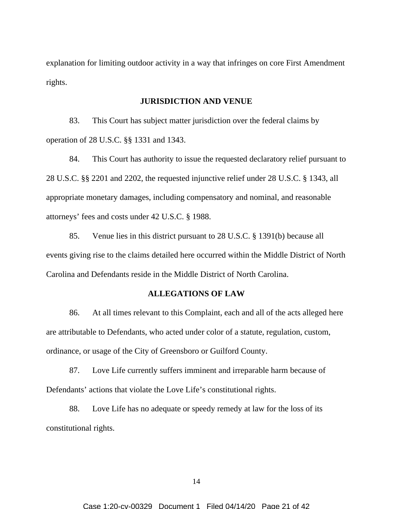explanation for limiting outdoor activity in a way that infringes on core First Amendment rights.

### **JURISDICTION AND VENUE**

83. This Court has subject matter jurisdiction over the federal claims by operation of 28 U.S.C. §§ 1331 and 1343.

84. This Court has authority to issue the requested declaratory relief pursuant to 28 U.S.C. §§ 2201 and 2202, the requested injunctive relief under 28 U.S.C. § 1343, all appropriate monetary damages, including compensatory and nominal, and reasonable attorneys' fees and costs under 42 U.S.C. § 1988.

85. Venue lies in this district pursuant to 28 U.S.C. § 1391(b) because all events giving rise to the claims detailed here occurred within the Middle District of North Carolina and Defendants reside in the Middle District of North Carolina.

### **ALLEGATIONS OF LAW**

86. At all times relevant to this Complaint, each and all of the acts alleged here are attributable to Defendants, who acted under color of a statute, regulation, custom, ordinance, or usage of the City of Greensboro or Guilford County.

87. Love Life currently suffers imminent and irreparable harm because of Defendants' actions that violate the Love Life's constitutional rights.

88. Love Life has no adequate or speedy remedy at law for the loss of its constitutional rights.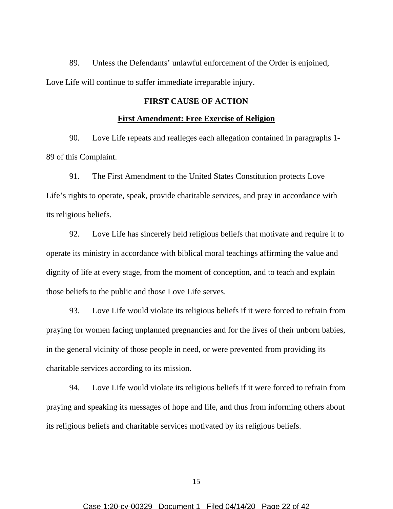89. Unless the Defendants' unlawful enforcement of the Order is enjoined, Love Life will continue to suffer immediate irreparable injury.

# **FIRST CAUSE OF ACTION**

#### **First Amendment: Free Exercise of Religion**

90. Love Life repeats and realleges each allegation contained in paragraphs 1- 89 of this Complaint.

91. The First Amendment to the United States Constitution protects Love Life's rights to operate, speak, provide charitable services, and pray in accordance with its religious beliefs.

92. Love Life has sincerely held religious beliefs that motivate and require it to operate its ministry in accordance with biblical moral teachings affirming the value and dignity of life at every stage, from the moment of conception, and to teach and explain those beliefs to the public and those Love Life serves.

93. Love Life would violate its religious beliefs if it were forced to refrain from praying for women facing unplanned pregnancies and for the lives of their unborn babies, in the general vicinity of those people in need, or were prevented from providing its charitable services according to its mission.

94. Love Life would violate its religious beliefs if it were forced to refrain from praying and speaking its messages of hope and life, and thus from informing others about its religious beliefs and charitable services motivated by its religious beliefs.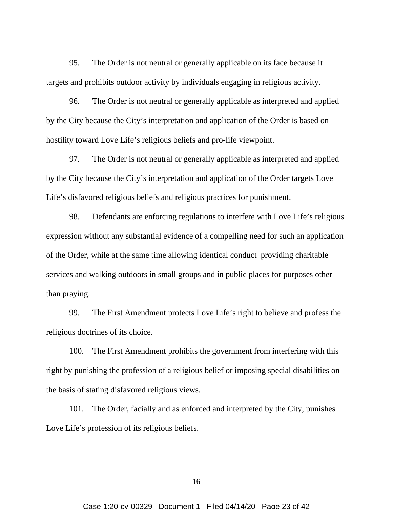95. The Order is not neutral or generally applicable on its face because it targets and prohibits outdoor activity by individuals engaging in religious activity.

96. The Order is not neutral or generally applicable as interpreted and applied by the City because the City's interpretation and application of the Order is based on hostility toward Love Life's religious beliefs and pro-life viewpoint.

97. The Order is not neutral or generally applicable as interpreted and applied by the City because the City's interpretation and application of the Order targets Love Life's disfavored religious beliefs and religious practices for punishment.

98. Defendants are enforcing regulations to interfere with Love Life's religious expression without any substantial evidence of a compelling need for such an application of the Order, while at the same time allowing identical conduct providing charitable services and walking outdoors in small groups and in public places for purposes other than praying.

99. The First Amendment protects Love Life's right to believe and profess the religious doctrines of its choice.

100. The First Amendment prohibits the government from interfering with this right by punishing the profession of a religious belief or imposing special disabilities on the basis of stating disfavored religious views.

101. The Order, facially and as enforced and interpreted by the City, punishes Love Life's profession of its religious beliefs.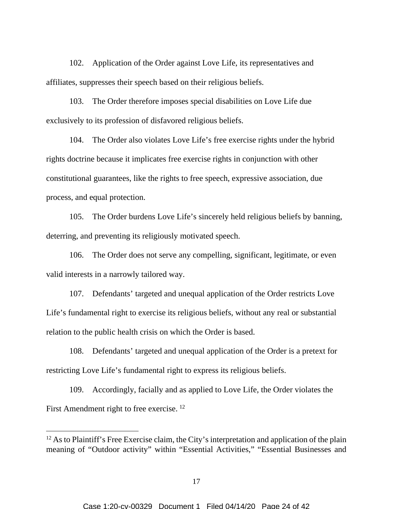102. Application of the Order against Love Life, its representatives and affiliates, suppresses their speech based on their religious beliefs.

103. The Order therefore imposes special disabilities on Love Life due exclusively to its profession of disfavored religious beliefs.

104. The Order also violates Love Life's free exercise rights under the hybrid rights doctrine because it implicates free exercise rights in conjunction with other constitutional guarantees, like the rights to free speech, expressive association, due process, and equal protection.

105. The Order burdens Love Life's sincerely held religious beliefs by banning, deterring, and preventing its religiously motivated speech.

106. The Order does not serve any compelling, significant, legitimate, or even valid interests in a narrowly tailored way.

107. Defendants' targeted and unequal application of the Order restricts Love Life's fundamental right to exercise its religious beliefs, without any real or substantial relation to the public health crisis on which the Order is based.

108. Defendants' targeted and unequal application of the Order is a pretext for restricting Love Life's fundamental right to express its religious beliefs.

109. Accordingly, facially and as applied to Love Life, the Order violates the First Amendment right to free exercise. <sup>12</sup>

 $12$  As to Plaintiff's Free Exercise claim, the City's interpretation and application of the plain meaning of "Outdoor activity" within "Essential Activities," "Essential Businesses and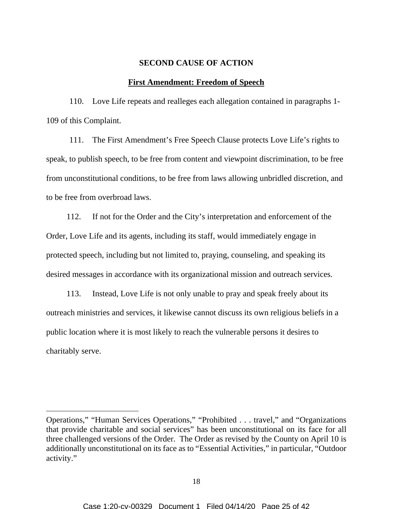#### **SECOND CAUSE OF ACTION**

## **First Amendment: Freedom of Speech**

110. Love Life repeats and realleges each allegation contained in paragraphs 1- 109 of this Complaint.

111. The First Amendment's Free Speech Clause protects Love Life's rights to speak, to publish speech, to be free from content and viewpoint discrimination, to be free from unconstitutional conditions, to be free from laws allowing unbridled discretion, and to be free from overbroad laws.

112. If not for the Order and the City's interpretation and enforcement of the Order, Love Life and its agents, including its staff, would immediately engage in protected speech, including but not limited to, praying, counseling, and speaking its desired messages in accordance with its organizational mission and outreach services.

113. Instead, Love Life is not only unable to pray and speak freely about its outreach ministries and services, it likewise cannot discuss its own religious beliefs in a public location where it is most likely to reach the vulnerable persons it desires to charitably serve.

Operations," "Human Services Operations," "Prohibited . . . travel," and "Organizations that provide charitable and social services" has been unconstitutional on its face for all three challenged versions of the Order. The Order as revised by the County on April 10 is additionally unconstitutional on its face as to "Essential Activities," in particular, "Outdoor activity."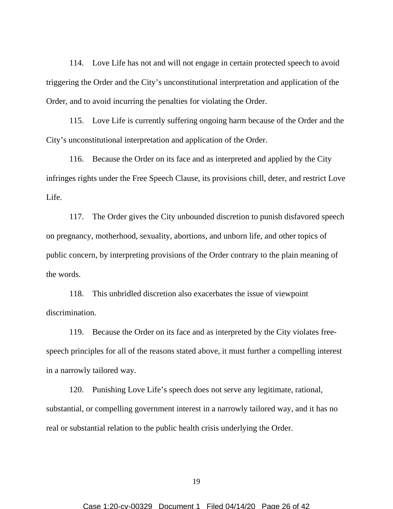114. Love Life has not and will not engage in certain protected speech to avoid triggering the Order and the City's unconstitutional interpretation and application of the Order, and to avoid incurring the penalties for violating the Order.

115. Love Life is currently suffering ongoing harm because of the Order and the City's unconstitutional interpretation and application of the Order.

116. Because the Order on its face and as interpreted and applied by the City infringes rights under the Free Speech Clause, its provisions chill, deter, and restrict Love Life.

117. The Order gives the City unbounded discretion to punish disfavored speech on pregnancy, motherhood, sexuality, abortions, and unborn life, and other topics of public concern, by interpreting provisions of the Order contrary to the plain meaning of the words.

118. This unbridled discretion also exacerbates the issue of viewpoint discrimination.

119. Because the Order on its face and as interpreted by the City violates freespeech principles for all of the reasons stated above, it must further a compelling interest in a narrowly tailored way.

120. Punishing Love Life's speech does not serve any legitimate, rational, substantial, or compelling government interest in a narrowly tailored way, and it has no real or substantial relation to the public health crisis underlying the Order.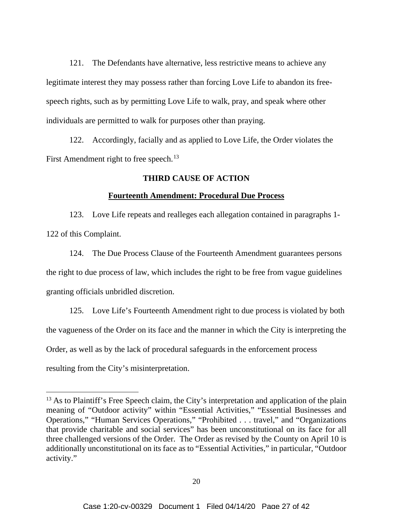121. The Defendants have alternative, less restrictive means to achieve any legitimate interest they may possess rather than forcing Love Life to abandon its freespeech rights, such as by permitting Love Life to walk, pray, and speak where other individuals are permitted to walk for purposes other than praying.

122. Accordingly, facially and as applied to Love Life, the Order violates the First Amendment right to free speech.<sup>13</sup>

# **THIRD CAUSE OF ACTION**

# **Fourteenth Amendment: Procedural Due Process**

123. Love Life repeats and realleges each allegation contained in paragraphs 1- 122 of this Complaint.

124. The Due Process Clause of the Fourteenth Amendment guarantees persons the right to due process of law, which includes the right to be free from vague guidelines granting officials unbridled discretion.

125. Love Life's Fourteenth Amendment right to due process is violated by both the vagueness of the Order on its face and the manner in which the City is interpreting the Order, as well as by the lack of procedural safeguards in the enforcement process resulting from the City's misinterpretation.

 $13$  As to Plaintiff's Free Speech claim, the City's interpretation and application of the plain meaning of "Outdoor activity" within "Essential Activities," "Essential Businesses and Operations," "Human Services Operations," "Prohibited . . . travel," and "Organizations that provide charitable and social services" has been unconstitutional on its face for all three challenged versions of the Order. The Order as revised by the County on April 10 is additionally unconstitutional on its face as to "Essential Activities," in particular, "Outdoor activity."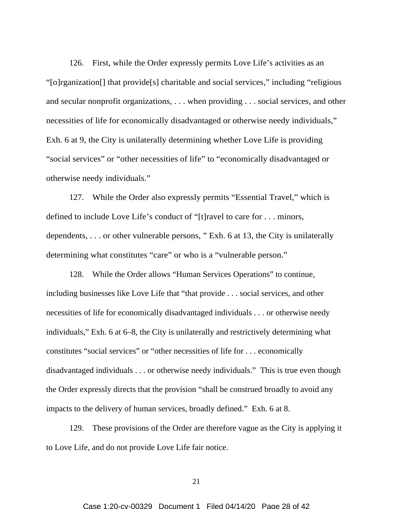126. First, while the Order expressly permits Love Life's activities as an "[o]rganization[] that provide[s] charitable and social services," including "religious and secular nonprofit organizations, . . . when providing . . . social services, and other necessities of life for economically disadvantaged or otherwise needy individuals," Exh. 6 at 9, the City is unilaterally determining whether Love Life is providing "social services" or "other necessities of life" to "economically disadvantaged or otherwise needy individuals."

127. While the Order also expressly permits "Essential Travel," which is defined to include Love Life's conduct of "[t]ravel to care for . . . minors, dependents, . . . or other vulnerable persons, " Exh. 6 at 13, the City is unilaterally determining what constitutes "care" or who is a "vulnerable person."

128. While the Order allows "Human Services Operations" to continue, including businesses like Love Life that "that provide . . . social services, and other necessities of life for economically disadvantaged individuals . . . or otherwise needy individuals," Exh. 6 at 6–8, the City is unilaterally and restrictively determining what constitutes "social services" or "other necessities of life for . . . economically disadvantaged individuals . . . or otherwise needy individuals." This is true even though the Order expressly directs that the provision "shall be construed broadly to avoid any impacts to the delivery of human services, broadly defined." Exh. 6 at 8.

129. These provisions of the Order are therefore vague as the City is applying it to Love Life, and do not provide Love Life fair notice.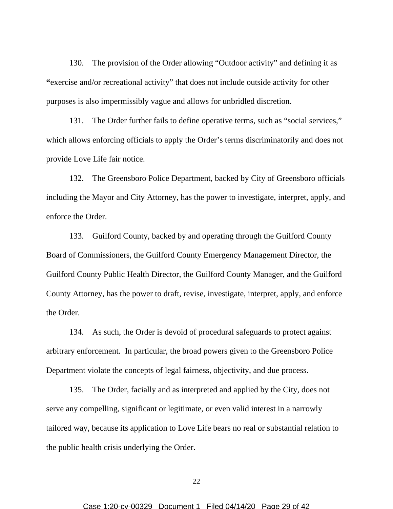130. The provision of the Order allowing "Outdoor activity" and defining it as **"**exercise and/or recreational activity" that does not include outside activity for other purposes is also impermissibly vague and allows for unbridled discretion.

131. The Order further fails to define operative terms, such as "social services," which allows enforcing officials to apply the Order's terms discriminatorily and does not provide Love Life fair notice.

132. The Greensboro Police Department, backed by City of Greensboro officials including the Mayor and City Attorney, has the power to investigate, interpret, apply, and enforce the Order.

133. Guilford County, backed by and operating through the Guilford County Board of Commissioners, the Guilford County Emergency Management Director, the Guilford County Public Health Director, the Guilford County Manager, and the Guilford County Attorney, has the power to draft, revise, investigate, interpret, apply, and enforce the Order.

134. As such, the Order is devoid of procedural safeguards to protect against arbitrary enforcement. In particular, the broad powers given to the Greensboro Police Department violate the concepts of legal fairness, objectivity, and due process.

135. The Order, facially and as interpreted and applied by the City, does not serve any compelling, significant or legitimate, or even valid interest in a narrowly tailored way, because its application to Love Life bears no real or substantial relation to the public health crisis underlying the Order.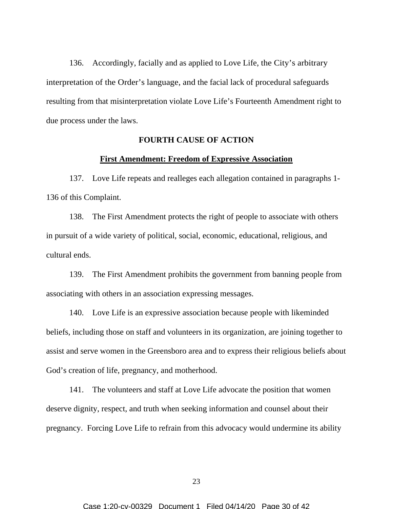136. Accordingly, facially and as applied to Love Life, the City's arbitrary interpretation of the Order's language, and the facial lack of procedural safeguards resulting from that misinterpretation violate Love Life's Fourteenth Amendment right to due process under the laws.

# **FOURTH CAUSE OF ACTION**

### **First Amendment: Freedom of Expressive Association**

137. Love Life repeats and realleges each allegation contained in paragraphs 1- 136 of this Complaint.

138. The First Amendment protects the right of people to associate with others in pursuit of a wide variety of political, social, economic, educational, religious, and cultural ends.

139. The First Amendment prohibits the government from banning people from associating with others in an association expressing messages.

140. Love Life is an expressive association because people with likeminded beliefs, including those on staff and volunteers in its organization, are joining together to assist and serve women in the Greensboro area and to express their religious beliefs about God's creation of life, pregnancy, and motherhood.

141. The volunteers and staff at Love Life advocate the position that women deserve dignity, respect, and truth when seeking information and counsel about their pregnancy. Forcing Love Life to refrain from this advocacy would undermine its ability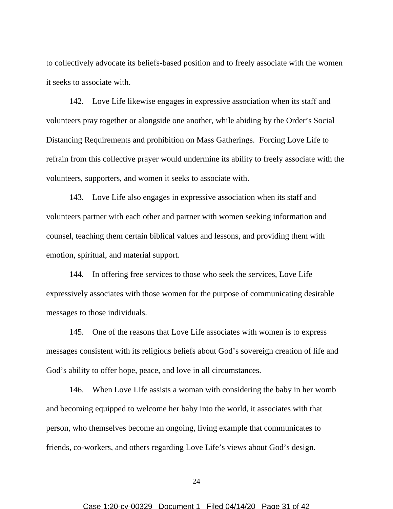to collectively advocate its beliefs-based position and to freely associate with the women it seeks to associate with.

142. Love Life likewise engages in expressive association when its staff and volunteers pray together or alongside one another, while abiding by the Order's Social Distancing Requirements and prohibition on Mass Gatherings. Forcing Love Life to refrain from this collective prayer would undermine its ability to freely associate with the volunteers, supporters, and women it seeks to associate with.

143. Love Life also engages in expressive association when its staff and volunteers partner with each other and partner with women seeking information and counsel, teaching them certain biblical values and lessons, and providing them with emotion, spiritual, and material support.

144. In offering free services to those who seek the services, Love Life expressively associates with those women for the purpose of communicating desirable messages to those individuals.

145. One of the reasons that Love Life associates with women is to express messages consistent with its religious beliefs about God's sovereign creation of life and God's ability to offer hope, peace, and love in all circumstances.

146. When Love Life assists a woman with considering the baby in her womb and becoming equipped to welcome her baby into the world, it associates with that person, who themselves become an ongoing, living example that communicates to friends, co-workers, and others regarding Love Life's views about God's design.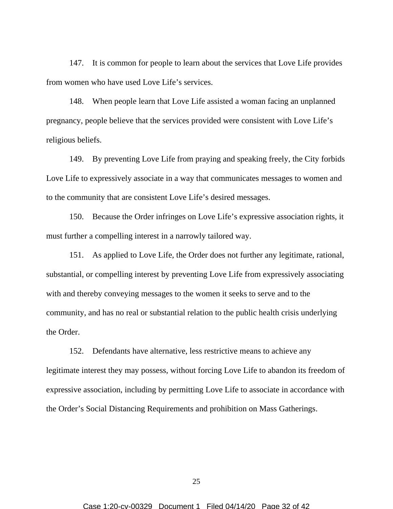147. It is common for people to learn about the services that Love Life provides from women who have used Love Life's services.

148. When people learn that Love Life assisted a woman facing an unplanned pregnancy, people believe that the services provided were consistent with Love Life's religious beliefs.

149. By preventing Love Life from praying and speaking freely, the City forbids Love Life to expressively associate in a way that communicates messages to women and to the community that are consistent Love Life's desired messages.

150. Because the Order infringes on Love Life's expressive association rights, it must further a compelling interest in a narrowly tailored way.

151. As applied to Love Life, the Order does not further any legitimate, rational, substantial, or compelling interest by preventing Love Life from expressively associating with and thereby conveying messages to the women it seeks to serve and to the community, and has no real or substantial relation to the public health crisis underlying the Order.

152. Defendants have alternative, less restrictive means to achieve any legitimate interest they may possess, without forcing Love Life to abandon its freedom of expressive association, including by permitting Love Life to associate in accordance with the Order's Social Distancing Requirements and prohibition on Mass Gatherings.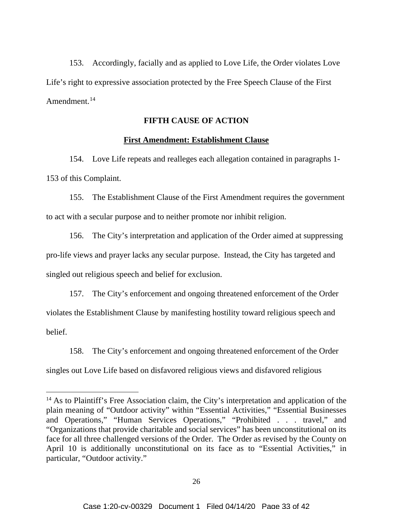153. Accordingly, facially and as applied to Love Life, the Order violates Love Life's right to expressive association protected by the Free Speech Clause of the First Amendment.<sup>14</sup>

# **FIFTH CAUSE OF ACTION**

# **First Amendment: Establishment Clause**

154. Love Life repeats and realleges each allegation contained in paragraphs 1- 153 of this Complaint.

155. The Establishment Clause of the First Amendment requires the government to act with a secular purpose and to neither promote nor inhibit religion.

156. The City's interpretation and application of the Order aimed at suppressing pro-life views and prayer lacks any secular purpose. Instead, the City has targeted and singled out religious speech and belief for exclusion.

157. The City's enforcement and ongoing threatened enforcement of the Order violates the Establishment Clause by manifesting hostility toward religious speech and belief.

158. The City's enforcement and ongoing threatened enforcement of the Order singles out Love Life based on disfavored religious views and disfavored religious

<sup>&</sup>lt;sup>14</sup> As to Plaintiff's Free Association claim, the City's interpretation and application of the plain meaning of "Outdoor activity" within "Essential Activities," "Essential Businesses and Operations," "Human Services Operations," "Prohibited . . . travel," and "Organizations that provide charitable and social services" has been unconstitutional on its face for all three challenged versions of the Order. The Order as revised by the County on April 10 is additionally unconstitutional on its face as to "Essential Activities," in particular, "Outdoor activity."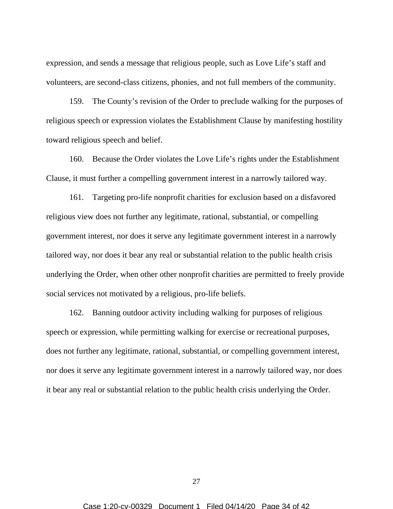expression, and sends a message that religious people, such as Love Life's staff and volunteers, are second-class citizens, phonies, and not full members of the community.

159. The County's revision of the Order to preclude walking for the purposes of religious speech or expression violates the Establishment Clause by manifesting hostility toward religious speech and belief.

160. Because the Order violates the Love Life's rights under the Establishment Clause, it must further a compelling government interest in a narrowly tailored way.

161. Targeting pro-life nonprofit charities for exclusion based on a disfavored religious view does not further any legitimate, rational, substantial, or compelling government interest, nor does it serve any legitimate government interest in a narrowly tailored way, nor does it bear any real or substantial relation to the public health crisis underlying the Order, when other other nonprofit charities are permitted to freely provide social services not motivated by a religious, pro-life beliefs.

162. Banning outdoor activity including walking for purposes of religious speech or expression, while permitting walking for exercise or recreational purposes, does not further any legitimate, rational, substantial, or compelling government interest, nor does it serve any legitimate government interest in a narrowly tailored way, nor does it bear any real or substantial relation to the public health crisis underlying the Order.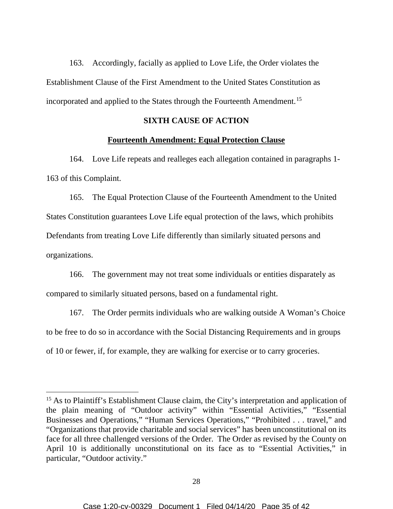163. Accordingly, facially as applied to Love Life, the Order violates the Establishment Clause of the First Amendment to the United States Constitution as incorporated and applied to the States through the Fourteenth Amendment.<sup>15</sup>

# **SIXTH CAUSE OF ACTION**

# **Fourteenth Amendment: Equal Protection Clause**

164. Love Life repeats and realleges each allegation contained in paragraphs 1- 163 of this Complaint.

165. The Equal Protection Clause of the Fourteenth Amendment to the United States Constitution guarantees Love Life equal protection of the laws, which prohibits Defendants from treating Love Life differently than similarly situated persons and organizations.

166. The government may not treat some individuals or entities disparately as compared to similarly situated persons, based on a fundamental right.

167. The Order permits individuals who are walking outside A Woman's Choice to be free to do so in accordance with the Social Distancing Requirements and in groups of 10 or fewer, if, for example, they are walking for exercise or to carry groceries.

<sup>&</sup>lt;sup>15</sup> As to Plaintiff's Establishment Clause claim, the City's interpretation and application of the plain meaning of "Outdoor activity" within "Essential Activities," "Essential Businesses and Operations," "Human Services Operations," "Prohibited . . . travel," and "Organizations that provide charitable and social services" has been unconstitutional on its face for all three challenged versions of the Order. The Order as revised by the County on April 10 is additionally unconstitutional on its face as to "Essential Activities," in particular, "Outdoor activity."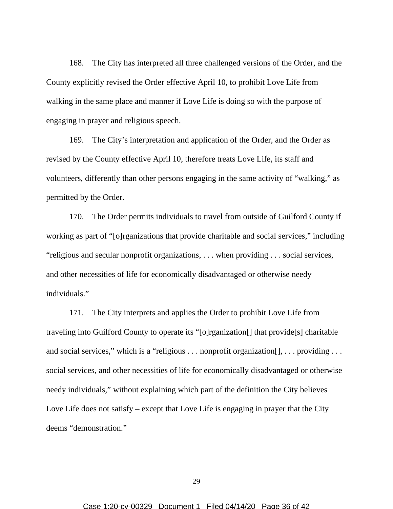168. The City has interpreted all three challenged versions of the Order, and the County explicitly revised the Order effective April 10, to prohibit Love Life from walking in the same place and manner if Love Life is doing so with the purpose of engaging in prayer and religious speech.

169. The City's interpretation and application of the Order, and the Order as revised by the County effective April 10, therefore treats Love Life, its staff and volunteers, differently than other persons engaging in the same activity of "walking," as permitted by the Order.

170. The Order permits individuals to travel from outside of Guilford County if working as part of "[o]rganizations that provide charitable and social services," including "religious and secular nonprofit organizations, . . . when providing . . . social services, and other necessities of life for economically disadvantaged or otherwise needy individuals."

171. The City interprets and applies the Order to prohibit Love Life from traveling into Guilford County to operate its "[o]rganization[] that provide[s] charitable and social services," which is a "religious . . . nonprofit organization [], . . . providing . . . social services, and other necessities of life for economically disadvantaged or otherwise needy individuals," without explaining which part of the definition the City believes Love Life does not satisfy – except that Love Life is engaging in prayer that the City deems "demonstration."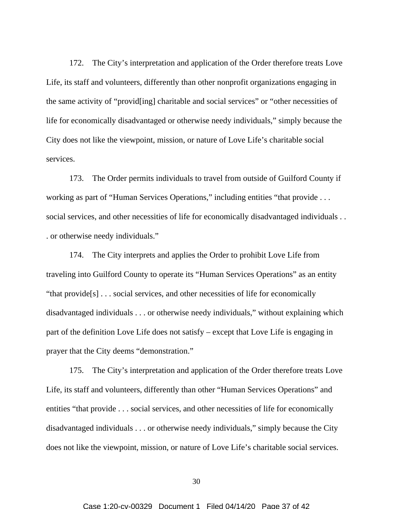172. The City's interpretation and application of the Order therefore treats Love Life, its staff and volunteers, differently than other nonprofit organizations engaging in the same activity of "provid[ing] charitable and social services" or "other necessities of life for economically disadvantaged or otherwise needy individuals," simply because the City does not like the viewpoint, mission, or nature of Love Life's charitable social services.

173. The Order permits individuals to travel from outside of Guilford County if working as part of "Human Services Operations," including entities "that provide . . . social services, and other necessities of life for economically disadvantaged individuals . . . or otherwise needy individuals."

174. The City interprets and applies the Order to prohibit Love Life from traveling into Guilford County to operate its "Human Services Operations" as an entity "that provide[s] . . . social services, and other necessities of life for economically disadvantaged individuals . . . or otherwise needy individuals," without explaining which part of the definition Love Life does not satisfy – except that Love Life is engaging in prayer that the City deems "demonstration."

175. The City's interpretation and application of the Order therefore treats Love Life, its staff and volunteers, differently than other "Human Services Operations" and entities "that provide . . . social services, and other necessities of life for economically disadvantaged individuals . . . or otherwise needy individuals," simply because the City does not like the viewpoint, mission, or nature of Love Life's charitable social services.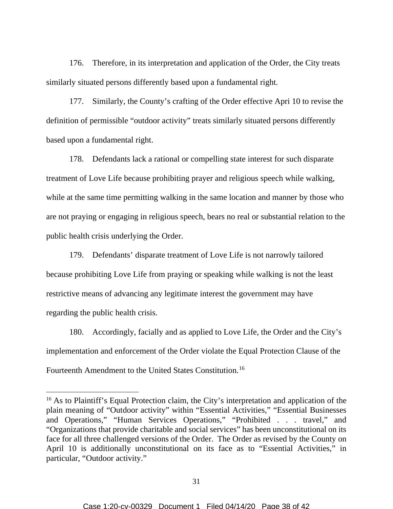176. Therefore, in its interpretation and application of the Order, the City treats similarly situated persons differently based upon a fundamental right.

177. Similarly, the County's crafting of the Order effective Apri 10 to revise the definition of permissible "outdoor activity" treats similarly situated persons differently based upon a fundamental right.

178. Defendants lack a rational or compelling state interest for such disparate treatment of Love Life because prohibiting prayer and religious speech while walking, while at the same time permitting walking in the same location and manner by those who are not praying or engaging in religious speech, bears no real or substantial relation to the public health crisis underlying the Order.

179. Defendants' disparate treatment of Love Life is not narrowly tailored because prohibiting Love Life from praying or speaking while walking is not the least restrictive means of advancing any legitimate interest the government may have regarding the public health crisis.

180. Accordingly, facially and as applied to Love Life, the Order and the City's implementation and enforcement of the Order violate the Equal Protection Clause of the Fourteenth Amendment to the United States Constitution.16

<sup>&</sup>lt;sup>16</sup> As to Plaintiff's Equal Protection claim, the City's interpretation and application of the plain meaning of "Outdoor activity" within "Essential Activities," "Essential Businesses and Operations," "Human Services Operations," "Prohibited . . . travel," and "Organizations that provide charitable and social services" has been unconstitutional on its face for all three challenged versions of the Order. The Order as revised by the County on April 10 is additionally unconstitutional on its face as to "Essential Activities," in particular, "Outdoor activity."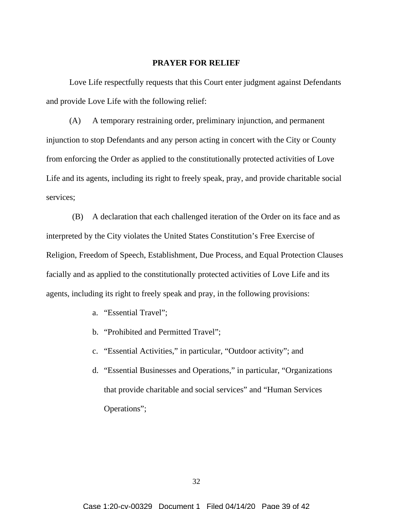#### **PRAYER FOR RELIEF**

Love Life respectfully requests that this Court enter judgment against Defendants and provide Love Life with the following relief:

(A) A temporary restraining order, preliminary injunction, and permanent injunction to stop Defendants and any person acting in concert with the City or County from enforcing the Order as applied to the constitutionally protected activities of Love Life and its agents, including its right to freely speak, pray, and provide charitable social services;

(B) A declaration that each challenged iteration of the Order on its face and as interpreted by the City violates the United States Constitution's Free Exercise of Religion, Freedom of Speech, Establishment, Due Process, and Equal Protection Clauses facially and as applied to the constitutionally protected activities of Love Life and its agents, including its right to freely speak and pray, in the following provisions:

- a. "Essential Travel";
- b. "Prohibited and Permitted Travel";
- c. "Essential Activities," in particular, "Outdoor activity"; and
- d. "Essential Businesses and Operations," in particular, "Organizations that provide charitable and social services" and "Human Services Operations";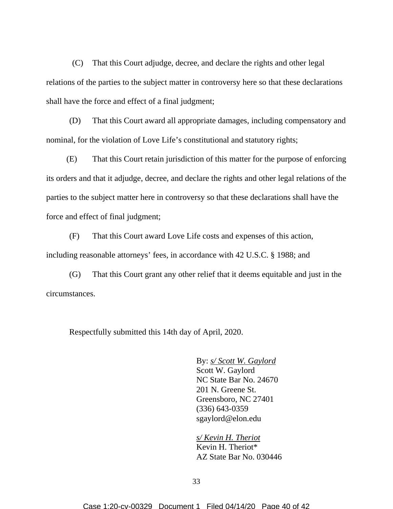(C) That this Court adjudge, decree, and declare the rights and other legal relations of the parties to the subject matter in controversy here so that these declarations shall have the force and effect of a final judgment;

(D) That this Court award all appropriate damages, including compensatory and nominal, for the violation of Love Life's constitutional and statutory rights;

(E) That this Court retain jurisdiction of this matter for the purpose of enforcing its orders and that it adjudge, decree, and declare the rights and other legal relations of the parties to the subject matter here in controversy so that these declarations shall have the force and effect of final judgment;

(F) That this Court award Love Life costs and expenses of this action, including reasonable attorneys' fees, in accordance with 42 U.S.C. § 1988; and

(G) That this Court grant any other relief that it deems equitable and just in the circumstances.

Respectfully submitted this 14th day of April, 2020.

By: *s/ Scott W. Gaylord*  Scott W. Gaylord NC State Bar No. 24670 201 N. Greene St. Greensboro, NC 27401 (336) 643-0359 sgaylord@elon.edu

*s/ Kevin H. Theriot* Kevin H. Theriot\* AZ State Bar No. 030446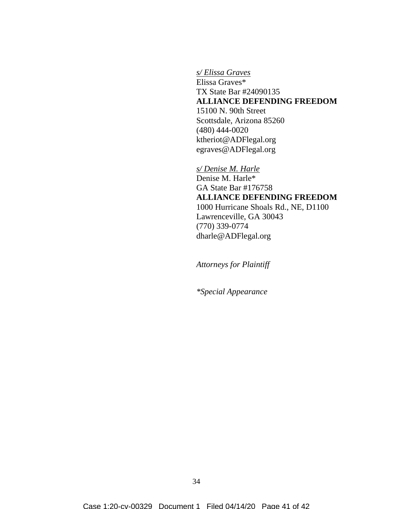*s/ Elissa Graves* Elissa Graves\* TX State Bar #24090135 **ALLIANCE DEFENDING FREEDOM** 15100 N. 90th Street Scottsdale, Arizona 85260 (480) 444-0020 ktheriot@ADFlegal.org egraves@ADFlegal.org

*s/ Denise M. Harle* Denise M. Harle\* GA State Bar #176758 **ALLIANCE DEFENDING FREEDOM** 1000 Hurricane Shoals Rd., NE, D1100 Lawrenceville, GA 30043 (770) 339-0774 dharle@ADFlegal.org

*Attorneys for Plaintiff* 

*\*Special Appearance*